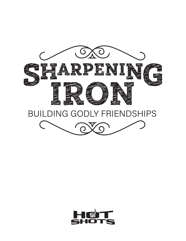

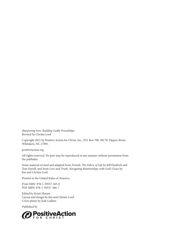*Sharpening Iron: Building Godly Friendship*s Revised by Christa Lord

Copyright 2021 by Positive Action for Christ, Inc., P.O. Box 700, 502 W. Pippen Street, Whitakers, NC 27891.

positiveaction.org

All rights reserved. No part may be reproduced in any manner without permission from the publisher.

Some material revised and adapted from *Friends: The Fabric of Life* by Jeff Diedrich and Tom Farrell, and from *Love and Truth: Navigating Relationships with God's Grace* by Jim and Christa Lord.

Printed in the United States of America

Print ISBN: 978-1-59557-365-0 PDF ISBN: 978-1-59557-366-7

Edited by Kristi Houser Layout and design by Jim and Christa Lord Cover photo by Josh Ludlow

Published by

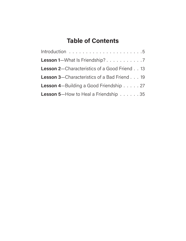# **Table of Contents**

| Lesson 1-What Is Friendship? 7                      |
|-----------------------------------------------------|
| <b>Lesson 2-Characteristics of a Good Friend 13</b> |
| <b>Lesson 3–Characteristics of a Bad Friend  19</b> |
| <b>Lesson 4</b> —Building a Good Friendship 27      |
| Lesson 5-How to Heal a Friendship 35                |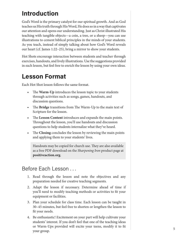# **Introduction**

God's Word is the primary catalyst for our spiritual growth. And as God teaches us His truth through His Word, He does so in a way that captivates our attention and opens our understanding. Just as Christ illustrated His teaching with tangible objects—a coin, a tree, or a sheep—you can use illustrations to cement biblical principles in the minds of your students. As you teach, instead of simply talking about how God's Word reveals our heart (cf. James 1:22–25), bring a mirror to show your students.

Hot Shots encourage interaction between students and teacher through exercises, handouts, and lively illustrations. Use the suggestions provided in each lesson, but feel free to enrich the lesson by using your own ideas.

# **Lesson Format**

Each Hot Shot lesson follows the same format.

- The **Warm-Up** introduces the lesson topic to your students through activities such as songs, games, handouts, and discussion questions.
- The **Bridge** transitions from The Warm-Up to the main text of Scripture for the lesson.
- The **Lesson Content** introduces and expands the main points. Throughout the lesson, you'll use handouts and discussion questions to help students internalize what they've heard.
- The **Closing** concludes the lesson by reviewing the main points and applying them to your students' lives.

Handouts may be copied for church use. They are also available as a free PDF download on the *Sharpening Iron* product page at **positiveaction.org**.

#### Before Each Lesson ...

- 1. Read through the lesson and note the objectives and any preparation needed for creative teaching segments.
- 2. Adapt the lesson if necessary. Determine ahead of time if you'll need to modify teaching methods or activities to fit your equipment or facilities.
- 3. Plan your schedule for class time. Each lesson can be taught in 30–45 minutes, but feel free to shorten or lengthen the lesson to fit your needs.
- 4. Be enthusiastic! Excitement on your part will help cultivate your students' interest. If you don't feel that one of the teaching ideas or Warm-Ups provided will excite your teens, modify it to fit your group.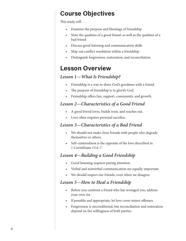# **Course Objectives**

This study will . . .

- Examine the purpose and blessings of friendship
- Note the qualities of a good friend, as well as the qualities of a bad friend
- Discuss good listening and communication skills
- Map out conflict resolution within a friendship
- Distinguish forgiveness, restoration, and reconciliation

# **Lesson Overview**

#### *Lesson 1—What Is Friendship?*

- Friendship is a way to share God's goodness with a friend.
- The purpose of friendship is to glorify God.
- Friendship offers fun, support, community, and growth.

#### *Lesson 2—Characteristics of a Good Friend*

- A good friend loves, builds trust, and reaches out.
- Love often requires personal sacrifice.

#### *Lesson 3—Characteristics of a Bad Friend*

- We should not make close friends with people who degrade themselves or others.
- Self-centeredness is the opposite of the love described in 1 Corinthians 13:4–7.

#### *Lesson 4—Building a Good Friendship*

- Good listening requires paying attention.
- Verbal and nonverbal communication are equally important.
- We should respect our friends, even when we disagree.

#### *Lesson 5—How to Heal a Friendship*

- Before you confront a friend who has wronged you, address your own sin.
- If possible and appropriate, let love cover minor offenses.
- Forgiveness is unconditional, but reconciliation and restoration depend on the willingness of both parties.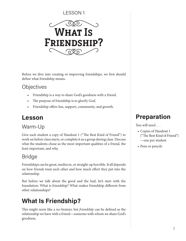#### LESSON 1



Before we dive into creating or improving friendships, we first should define what friendship means.

### **Objectives**

- Friendship is a way to share God's goodness with a friend.
- The purpose of friendship is to glorify God.
- Friendship offers fun, support, community, and growth.

# **Lesson**

# Warm-Up

Give each student a copy of Handout 1 ("The Best Kind of Friend") to work on before class starts, or complete it as a group during class. Discuss what the students chose as the most important qualities of a friend, the least important, and why.

# Bridge

Friendships can be great, mediocre, or straight-up horrible. It all depends on how friends treat each other and how much effort they put into the relationship.

But before we talk about the good and the bad, let's start with the foundation: What is friendship? What makes friendship different from other relationships?

# **What Is Friendship?**

This might seem like a no-brainer, but *friendship* can be defined as the relationship we have with a friend—someone with whom we share God's goodness.

# **Preparation**

You will need . . .

- Copies of Handout 1 ("The Best Kind of Friend") —one per student
- Pens or pencils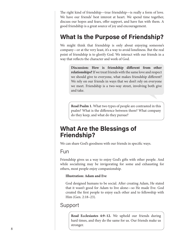The right kind of friendship—true friendship—is really a form of love. We have our friends' best interest at heart. We spend time together, discuss our hopes and fears, offer support, and have fun with them. A good friendship is a great source of joy and encouragement.

# **What Is the Purpose of Friendship?**

We might think that friendship is only about enjoying someone's company—or at the very least, it's a way to avoid loneliness. But the real point of friendship is to glorify God. We interact with our friends in a way that reflects the character and work of God.

> **Discussion: How is friendship different from other relationships?** If we treat friends with the same love and respect we should give to everyone, what makes friendship different? We rely on our friends in ways that we don't rely on everyone we meet. Friendship is a two-way street, involving both give and take.

**Read Psalm 1.** What two types of people are contrasted in this psalm? What is the difference between them? What company do they keep, and what do they pursue?

# **What Are the Blessings of Friendship?**

We can share God's goodness with our friends in specific ways.

### Fun

Friendship gives us a way to enjoy God's gifts with other people. And while socializing may be invigorating for some and exhausting for others, most people enjoy companionship.

#### **Illustration: Adam and Eve**

God designed humans to be social. After creating Adam, He stated that it wasn't good for Adam to live alone—so He made Eve. God created the first people to enjoy each other and to fellowship with Him (Gen. 2:18–23).

#### Support

**Read Ecclesiastes 4:9–12.** We uphold our friends during hard times, and they do the same for us. Our friends make us stronger.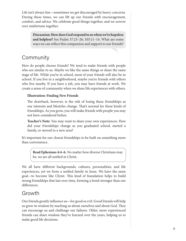Life isn't always fun—sometimes we get discouraged by heavy concerns. During these times, we can lift up our friends with encouragement, comfort, and advice. We celebrate good things together, and we sorrow over misfortune together.

> **Discussion: How does God respond to us when we're hopeless and helpless?** See Psalm 37:23–26; 103:11–14. What are some ways we can reflect this compassion and support to our friends?

#### **Community**

How do people choose friends? We tend to make friends with people who are similar to us. Maybe we like the same things or share the same stage of life. While you're in school, most of your friends will also be in school. If you live in a neighborhood, maybe you're friends with others who live nearby. If you have a job, you may have friends at work. We create a sense of community when we share life experiences with others.

#### **Illustration: Finding New Friends**

The drawback, however, is the risk of losing these friendships as our interests and lifestyles change. That's normal for these kinds of friendships. As you grow, you will make friends with people you may not have considered before.

**Teacher's Note:** You may want to share your own experiences. How did your friendships change as you graduated school, started a family, or moved to a new area?

It's important for our closest friendships to be built on something more than convenience.

> **Read Ephesians 4:4–6.** No matter how diverse Christians may be, we are all unified in Christ.

We all have different backgrounds, cultures, personalities, and life experiences, yet we form a unified family in Jesus. We have the same goal—to become like Christ. This kind of foundation helps to build strong friendships that last over time, forming a bond stronger than our differences.

#### Growth

Our friends greatly influence us—for good or evil. Good friends will help us grow in wisdom by teaching us about ourselves and about God. They can encourage us and challenge our failures. Older, more experienced friends can share wisdom they've learned over the years, helping us to make good life decisions.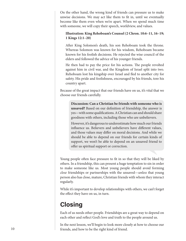On the other hand, the wrong kind of friends can pressure us to make unwise decisions. We may act like them to fit in, until we eventually become like them even when we're apart. When we spend much time with someone, we will copy their speech, worldview, and values.

#### **Illustration: King Rehoboam's Counsel (2 Chron. 10:6–11, 16–19; 1 Kings 12:1–20)**

After King Solomon's death, his son Rehoboam took the throne. Whereas Solomon was known for his wisdom, Rehoboam became known for his foolish decisions. He rejected the wise council of the elders and followed the advice of his younger friends.

He then had to pay the price for his actions. The people revolted against him in civil war, and the Kingdom of Israel split into two. Rehoboam lost his kingship over Israel and fled to another city for safety. His pride and foolishness, encouraged by his friends, tore his country apart.

Because of the great impact that our friends have on us, it's vital that we choose our friends carefully.

> **Discussion: Can a Christian be friends with someone who is unsaved?** Based on our definition of friendship, the answer is yes—with some qualifications. A Christian can and should share goodness with others, including those who are unbelievers.

> However, it's dangerous to underestimate how much our friends influence us. Believers and unbelievers have different values, and those values may differ on moral decisions. And while we should be able to depend on our friends for certain kinds of support, we won't be able to depend on an unsaved friend to offer us spiritual support or correction.

Young people often face pressure to fit in so that they will be liked by others. In a friendship, this can present a huge temptation to sin in order to make someone like us. Most young people should avoid forming *close* friendships or partnerships with the unsaved—*unless* that young person also has close, mature, Christian friends with whom they interact regularly.

While it's important to develop relationships with others, we can't forget the effect they have on us, in turn.

# **Closing**

Each of us needs other people. Friendships are a great way to depend on each other and reflect God's love and truth to the people around us.

In the next lesson, we'll begin to look more closely at how to choose our friends, and how to be the right kind of friend.